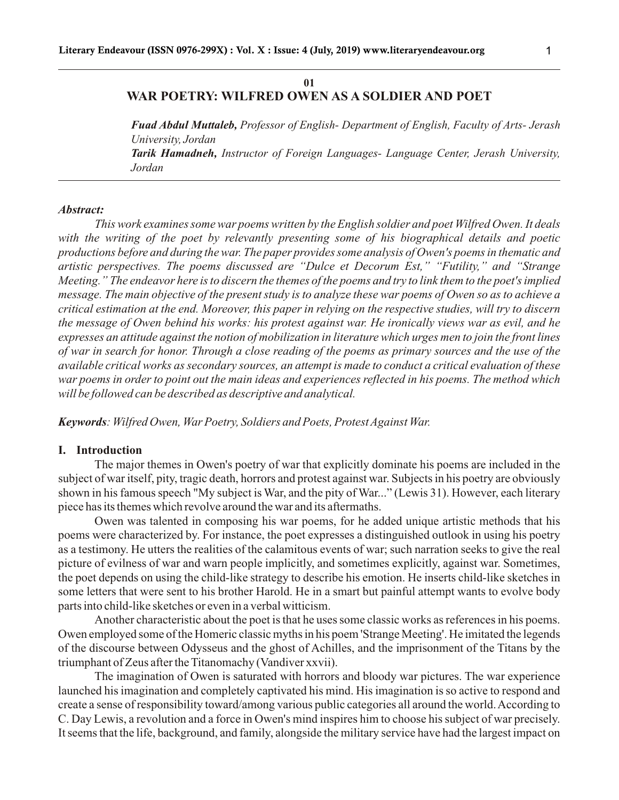# **01 WAR POETRY: WILFRED OWEN AS A SOLDIER AND POET**

*Fuad Abdul Muttaleb, Professor of English- Department of English, Faculty of Arts- Jerash University, Jordan Tarik Hamadneh, Instructor of Foreign Languages- Language Center, Jerash University, Jordan*

#### *Abstract:*

*This work examines some war poems written by the English soldier and poet Wilfred Owen. It deals with the writing of the poet by relevantly presenting some of his biographical details and poetic productions before and during the war. The paper provides some analysis of Owen's poems in thematic and artistic perspectives. The poems discussed are "Dulce et Decorum Est," "Futility," and "Strange Meeting." The endeavor here is to discern the themes of the poems and try to link them to the poet's implied message. The main objective of the present study is to analyze these war poems of Owen so as to achieve a critical estimation at the end. Moreover, this paper in relying on the respective studies, will try to discern the message of Owen behind his works: his protest against war. He ironically views war as evil, and he expresses an attitude against the notion of mobilization in literature which urges men to join the front lines of war in search for honor. Through a close reading of the poems as primary sources and the use of the available critical works as secondary sources, an attempt is made to conduct a critical evaluation of these war poems in order to point out the main ideas and experiences reflected in his poems. The method which will be followed can be described as descriptive and analytical.*

*Keywords: Wilfred Owen, War Poetry, Soldiers and Poets, Protest Against War.*

## **I. Introduction**

The major themes in Owen's poetry of war that explicitly dominate his poems are included in the subject of war itself, pity, tragic death, horrors and protest against war. Subjects in his poetry are obviously shown in his famous speech "My subject is War, and the pity of War..." (Lewis 31). However, each literary piece has its themes which revolve around the war and its aftermaths.

Owen was talented in composing his war poems, for he added unique artistic methods that his poems were characterized by. For instance, the poet expresses a distinguished outlook in using his poetry as a testimony. He utters the realities of the calamitous events of war; such narration seeks to give the real picture of evilness of war and warn people implicitly, and sometimes explicitly, against war. Sometimes, the poet depends on using the child-like strategy to describe his emotion. He inserts child-like sketches in some letters that were sent to his brother Harold. He in a smart but painful attempt wants to evolve body parts into child-like sketches or even in a verbal witticism.

Another characteristic about the poet is that he uses some classic works as references in his poems. Owen employed some of the Homeric classic myths in his poem 'Strange Meeting'. He imitated the legends of the discourse between Odysseus and the ghost of Achilles, and the imprisonment of the Titans by the triumphant of Zeus after the Titanomachy (Vandiver xxvii).

The imagination of Owen is saturated with horrors and bloody war pictures. The war experience launched his imagination and completely captivated his mind. His imagination is so active to respond and create a sense of responsibility toward/among various public categories all around the world. According to C. Day Lewis, a revolution and a force in Owen's mind inspires him to choose his subject of war precisely. It seems that the life, background, and family, alongside the military service have had the largest impact on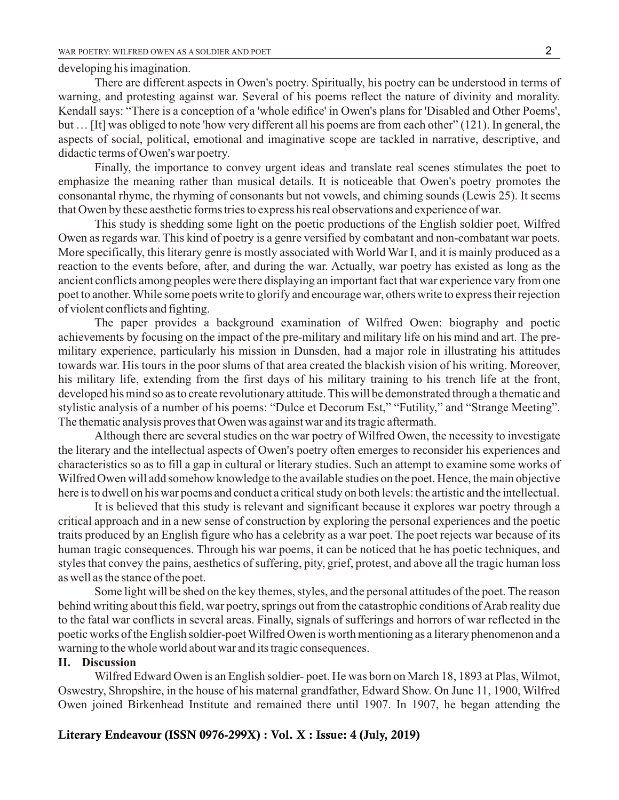#### developing his imagination.

There are different aspects in Owen's poetry. Spiritually, his poetry can be understood in terms of warning, and protesting against war. Several of his poems reflect the nature of divinity and morality. Kendall says: "There is a conception of a 'whole edifice' in Owen's plans for 'Disabled and Other Poems', but … [It] was obliged to note 'how very different all his poems are from each other" (121). In general, the aspects of social, political, emotional and imaginative scope are tackled in narrative, descriptive, and didactic terms of Owen's war poetry.

Finally, the importance to convey urgent ideas and translate real scenes stimulates the poet to emphasize the meaning rather than musical details. It is noticeable that Owen's poetry promotes the consonantal rhyme, the rhyming of consonants but not vowels, and chiming sounds (Lewis 25). It seems that Owen by these aesthetic forms tries to express his real observations and experience of war.

This study is shedding some light on the poetic productions of the English soldier poet, Wilfred Owen as regards war. This kind of poetry is a genre versified by combatant and non-combatant war poets. More specifically, this literary genre is mostly associated with World War I, and it is mainly produced as a reaction to the events before, after, and during the war. Actually, war poetry has existed as long as the ancient conflicts among peoples were there displaying an important fact that war experience vary from one poet to another. While some poets write to glorify and encourage war, others write to express their rejection of violent conflicts and fighting.

The paper provides a background examination of Wilfred Owen: biography and poetic achievements by focusing on the impact of the pre-military and military life on his mind and art. The premilitary experience, particularly his mission in Dunsden, had a major role in illustrating his attitudes towards war. His tours in the poor slums of that area created the blackish vision of his writing. Moreover, his military life, extending from the first days of his military training to his trench life at the front, developed his mind so as to create revolutionary attitude. This will be demonstrated through a thematic and stylistic analysis of a number of his poems: "Dulce et Decorum Est," "Futility," and "Strange Meeting". The thematic analysis proves that Owen was against war and its tragic aftermath.

Although there are several studies on the war poetry of Wilfred Owen, the necessity to investigate the literary and the intellectual aspects of Owen's poetry often emerges to reconsider his experiences and characteristics so as to fill a gap in cultural or literary studies. Such an attempt to examine some works of Wilfred Owen will add somehow knowledge to the available studies on the poet. Hence, the main objective here is to dwell on his war poems and conduct a critical study on both levels: the artistic and the intellectual.

It is believed that this study is relevant and significant because it explores war poetry through a critical approach and in a new sense of construction by exploring the personal experiences and the poetic traits produced by an English figure who has a celebrity as a war poet. The poet rejects war because of its human tragic consequences. Through his war poems, it can be noticed that he has poetic techniques, and styles that convey the pains, aesthetics of suffering, pity, grief, protest, and above all the tragic human loss as well as the stance of the poet.

Some light will be shed on the key themes, styles, and the personal attitudes of the poet. The reason behind writing about this field, war poetry, springs out from the catastrophic conditions of Arab reality due to the fatal war conflicts in several areas. Finally, signals of sufferings and horrors of war reflected in the poetic works of the English soldier-poet Wilfred Owen is worth mentioning as a literary phenomenon and a warning to the whole world about war and its tragic consequences.

## **II. Discussion**

Wilfred Edward Owen is an English soldier- poet. He was born on March 18, 1893 at Plas, Wilmot, Oswestry, Shropshire, in the house of his maternal grandfather, Edward Show. On June 11, 1900, Wilfred Owen joined Birkenhead Institute and remained there until 1907. In 1907, he began attending the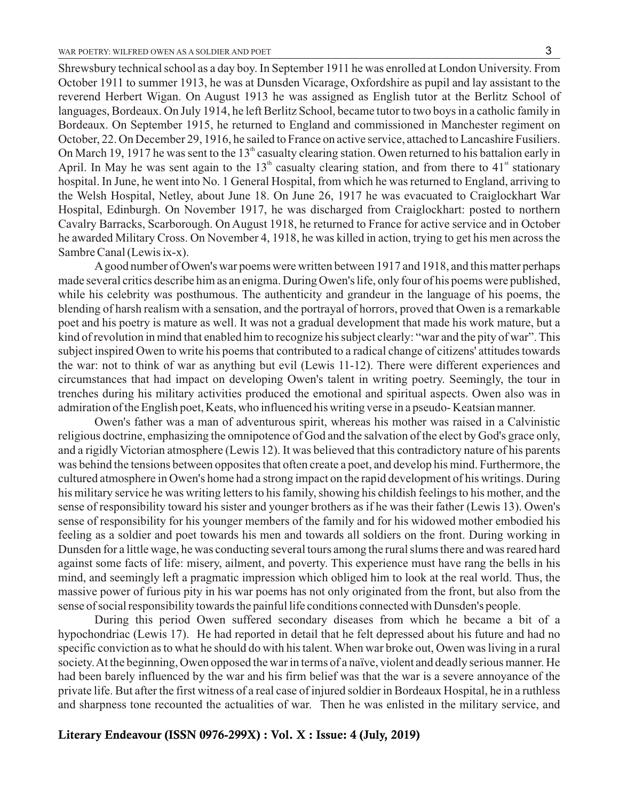Shrewsbury technical school as a day boy. In September 1911 he was enrolled at London University. From October 1911 to summer 1913, he was at Dunsden Vicarage, Oxfordshire as pupil and lay assistant to the reverend Herbert Wigan. On August 1913 he was assigned as English tutor at the Berlitz School of languages, Bordeaux. On July 1914, he left Berlitz School, became tutor to two boys in a catholic family in Bordeaux. On September 1915, he returned to England and commissioned in Manchester regiment on October, 22. On December 29, 1916, he sailed to France on active service, attached to Lancashire Fusiliers. On March 19, 1917 he was sent to the 13<sup>th</sup> casualty clearing station. Owen returned to his battalion early in April. In May he was sent again to the  $13<sup>th</sup>$  casualty clearing station, and from there to  $41<sup>st</sup>$  stationary hospital. In June, he went into No. 1 General Hospital, from which he was returned to England, arriving to the Welsh Hospital, Netley, about June 18. On June 26, 1917 he was evacuated to Craiglockhart War Hospital, Edinburgh. On November 1917, he was discharged from Craiglockhart: posted to northern Cavalry Barracks, Scarborough. On August 1918, he returned to France for active service and in October he awarded Military Cross. On November 4, 1918, he was killed in action, trying to get his men across the Sambre Canal (Lewis ix-x).

Agood number of Owen's war poems were written between 1917 and 1918, and this matter perhaps made several critics describe him as an enigma. During Owen's life, only four of his poems were published, while his celebrity was posthumous. The authenticity and grandeur in the language of his poems, the blending of harsh realism with a sensation, and the portrayal of horrors, proved that Owen is a remarkable poet and his poetry is mature as well. It was not a gradual development that made his work mature, but a kind of revolution in mind that enabled him to recognize his subject clearly: "war and the pity of war". This subject inspired Owen to write his poems that contributed to a radical change of citizens' attitudes towards the war: not to think of war as anything but evil (Lewis 11-12). There were different experiences and circumstances that had impact on developing Owen's talent in writing poetry. Seemingly, the tour in trenches during his military activities produced the emotional and spiritual aspects. Owen also was in admiration of the English poet, Keats, who influenced his writing verse in a pseudo- Keatsian manner.

Owen's father was a man of adventurous spirit, whereas his mother was raised in a Calvinistic religious doctrine, emphasizing the omnipotence of God and the salvation of the elect by God's grace only, and a rigidly Victorian atmosphere (Lewis 12). It was believed that this contradictory nature of his parents was behind the tensions between opposites that often create a poet, and develop his mind. Furthermore, the cultured atmosphere in Owen's home had a strong impact on the rapid development of his writings. During his military service he was writing letters to his family, showing his childish feelings to his mother, and the sense of responsibility toward his sister and younger brothers as if he was their father (Lewis 13). Owen's sense of responsibility for his younger members of the family and for his widowed mother embodied his feeling as a soldier and poet towards his men and towards all soldiers on the front. During working in Dunsden for a little wage, he was conducting several tours among the rural slums there and was reared hard against some facts of life: misery, ailment, and poverty. This experience must have rang the bells in his mind, and seemingly left a pragmatic impression which obliged him to look at the real world. Thus, the massive power of furious pity in his war poems has not only originated from the front, but also from the sense of social responsibility towards the painful life conditions connected with Dunsden's people.

During this period Owen suffered secondary diseases from which he became a bit of a hypochondriac (Lewis 17). He had reported in detail that he felt depressed about his future and had no specific conviction as to what he should do with his talent. When war broke out, Owen was living in a rural society. At the beginning, Owen opposed the war in terms of a naïve, violent and deadly serious manner. He had been barely influenced by the war and his firm belief was that the war is a severe annoyance of the private life. But after the first witness of a real case of injured soldier in Bordeaux Hospital, he in a ruthless and sharpness tone recounted the actualities of war. Then he was enlisted in the military service, and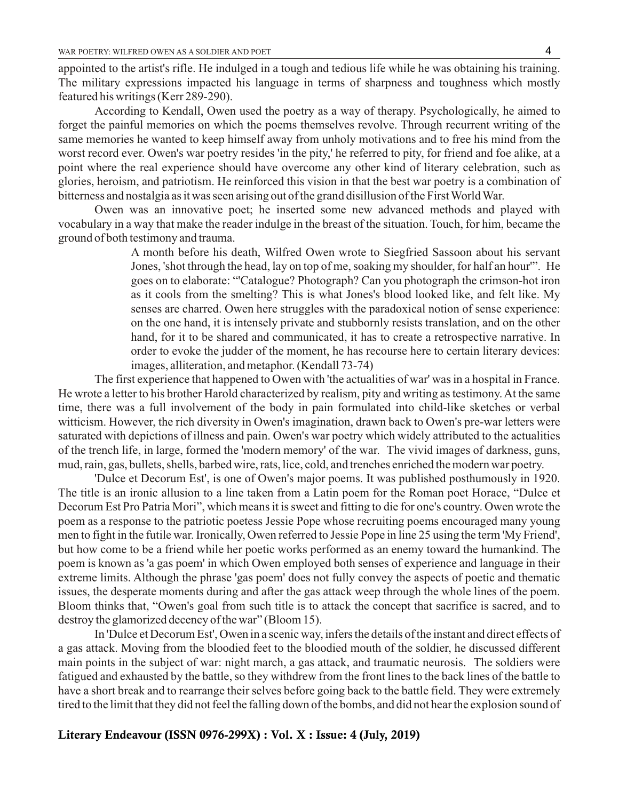appointed to the artist's rifle. He indulged in a tough and tedious life while he was obtaining his training. The military expressions impacted his language in terms of sharpness and toughness which mostly featured his writings (Kerr 289-290).

According to Kendall, Owen used the poetry as a way of therapy. Psychologically, he aimed to forget the painful memories on which the poems themselves revolve. Through recurrent writing of the same memories he wanted to keep himself away from unholy motivations and to free his mind from the worst record ever. Owen's war poetry resides 'in the pity,' he referred to pity, for friend and foe alike, at a point where the real experience should have overcome any other kind of literary celebration, such as glories, heroism, and patriotism. He reinforced this vision in that the best war poetry is a combination of bitterness and nostalgia as it was seen arising out of the grand disillusion of the First World War.

Owen was an innovative poet; he inserted some new advanced methods and played with vocabulary in a way that make the reader indulge in the breast of the situation. Touch, for him, became the ground of both testimony and trauma.

> A month before his death, Wilfred Owen wrote to Siegfried Sassoon about his servant Jones, 'shot through the head, lay on top of me, soaking my shoulder, for half an hour'". He goes on to elaborate: "'Catalogue? Photograph? Can you photograph the crimson-hot iron as it cools from the smelting? This is what Jones's blood looked like, and felt like. My senses are charred. Owen here struggles with the paradoxical notion of sense experience: on the one hand, it is intensely private and stubbornly resists translation, and on the other hand, for it to be shared and communicated, it has to create a retrospective narrative. In order to evoke the judder of the moment, he has recourse here to certain literary devices: images, alliteration, and metaphor. (Kendall 73-74)

The first experience that happened to Owen with 'the actualities of war' was in a hospital in France. He wrote a letter to his brother Harold characterized by realism, pity and writing as testimony. At the same time, there was a full involvement of the body in pain formulated into child-like sketches or verbal witticism. However, the rich diversity in Owen's imagination, drawn back to Owen's pre-war letters were saturated with depictions of illness and pain. Owen's war poetry which widely attributed to the actualities of the trench life, in large, formed the 'modern memory' of the war. The vivid images of darkness, guns, mud, rain, gas, bullets, shells, barbed wire, rats, lice, cold, and trenches enriched the modern war poetry.

'Dulce et Decorum Est', is one of Owen's major poems. It was published posthumously in 1920. The title is an ironic allusion to a line taken from a Latin poem for the Roman poet Horace, "Dulce et Decorum Est Pro Patria Mori", which means it is sweet and fitting to die for one's country. Owen wrote the poem as a response to the patriotic poetess Jessie Pope whose recruiting poems encouraged many young men to fight in the futile war. Ironically, Owen referred to Jessie Pope in line 25 using the term 'My Friend', but how come to be a friend while her poetic works performed as an enemy toward the humankind. The poem is known as 'a gas poem' in which Owen employed both senses of experience and language in their extreme limits. Although the phrase 'gas poem' does not fully convey the aspects of poetic and thematic issues, the desperate moments during and after the gas attack weep through the whole lines of the poem. Bloom thinks that, "Owen's goal from such title is to attack the concept that sacrifice is sacred, and to destroy the glamorized decency of the war" (Bloom 15).

In 'Dulce et Decorum Est', Owen in a scenic way, infers the details of the instant and direct effects of a gas attack. Moving from the bloodied feet to the bloodied mouth of the soldier, he discussed different main points in the subject of war: night march, a gas attack, and traumatic neurosis. The soldiers were fatigued and exhausted by the battle, so they withdrew from the front lines to the back lines of the battle to have a short break and to rearrange their selves before going back to the battle field. They were extremely tired to the limit that they did not feel the falling down of the bombs, and did not hear the explosion sound of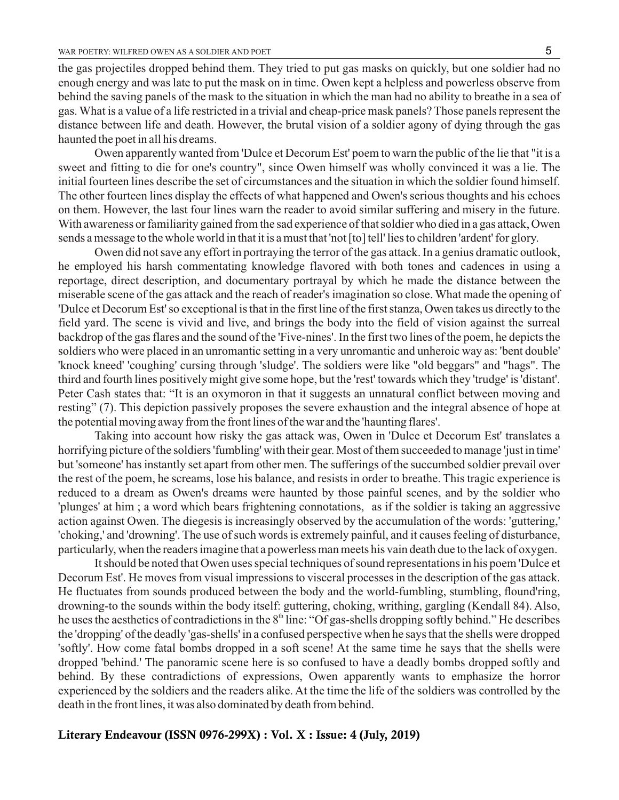the gas projectiles dropped behind them. They tried to put gas masks on quickly, but one soldier had no enough energy and was late to put the mask on in time. Owen kept a helpless and powerless observe from behind the saving panels of the mask to the situation in which the man had no ability to breathe in a sea of gas. What is a value of a life restricted in a trivial and cheap-price mask panels? Those panels represent the distance between life and death. However, the brutal vision of a soldier agony of dying through the gas haunted the poet in all his dreams.

Owen apparently wanted from 'Dulce et Decorum Est' poem to warn the public of the lie that "it is a sweet and fitting to die for one's country", since Owen himself was wholly convinced it was a lie. The initial fourteen lines describe the set of circumstances and the situation in which the soldier found himself. The other fourteen lines display the effects of what happened and Owen's serious thoughts and his echoes on them. However, the last four lines warn the reader to avoid similar suffering and misery in the future. With awareness or familiarity gained from the sad experience of that soldier who died in a gas attack, Owen sends a message to the whole world in that it is a must that 'not [to] tell' lies to children 'ardent' for glory.

Owen did not save any effort in portraying the terror of the gas attack. In a genius dramatic outlook, he employed his harsh commentating knowledge flavored with both tones and cadences in using a reportage, direct description, and documentary portrayal by which he made the distance between the miserable scene of the gas attack and the reach of reader's imagination so close. What made the opening of 'Dulce et Decorum Est' so exceptional is that in the first line of the first stanza, Owen takes us directly to the field yard. The scene is vivid and live, and brings the body into the field of vision against the surreal backdrop of the gas flares and the sound of the 'Five-nines'. In the first two lines of the poem, he depicts the soldiers who were placed in an unromantic setting in a very unromantic and unheroic way as: 'bent double' 'knock kneed' 'coughing' cursing through 'sludge'. The soldiers were like "old beggars" and "hags". The third and fourth lines positively might give some hope, but the 'rest' towards which they 'trudge' is 'distant'. Peter Cash states that: "It is an oxymoron in that it suggests an unnatural conflict between moving and resting" (7). This depiction passively proposes the severe exhaustion and the integral absence of hope at the potential moving away from the front lines of the war and the 'haunting flares'.

Taking into account how risky the gas attack was, Owen in 'Dulce et Decorum Est' translates a horrifying picture of the soldiers 'fumbling' with their gear. Most of them succeeded to manage 'just in time' but 'someone' has instantly set apart from other men. The sufferings of the succumbed soldier prevail over the rest of the poem, he screams, lose his balance, and resists in order to breathe. This tragic experience is reduced to a dream as Owen's dreams were haunted by those painful scenes, and by the soldier who 'plunges' at him ; a word which bears frightening connotations, as if the soldier is taking an aggressive action against Owen. The diegesis is increasingly observed by the accumulation of the words: 'guttering,' 'choking,' and 'drowning'. The use of such words is extremely painful, and it causes feeling of disturbance, particularly, when the readers imagine that a powerless man meets his vain death due to the lack of oxygen.

It should be noted that Owen uses special techniques of sound representations in his poem 'Dulce et Decorum Est'. He moves from visual impressions to visceral processes in the description of the gas attack. He fluctuates from sounds produced between the body and the world-fumbling, stumbling, flound'ring, drowning-to the sounds within the body itself: guttering, choking, writhing, gargling (Kendall 84). Also, he uses the aesthetics of contradictions in the  $8<sup>th</sup>$  line: "Of gas-shells dropping softly behind." He describes the 'dropping' of the deadly 'gas-shells' in a confused perspective when he says that the shells were dropped 'softly'. How come fatal bombs dropped in a soft scene! At the same time he says that the shells were dropped 'behind.' The panoramic scene here is so confused to have a deadly bombs dropped softly and behind. By these contradictions of expressions, Owen apparently wants to emphasize the horror experienced by the soldiers and the readers alike. At the time the life of the soldiers was controlled by the death in the front lines, it was also dominated by death from behind.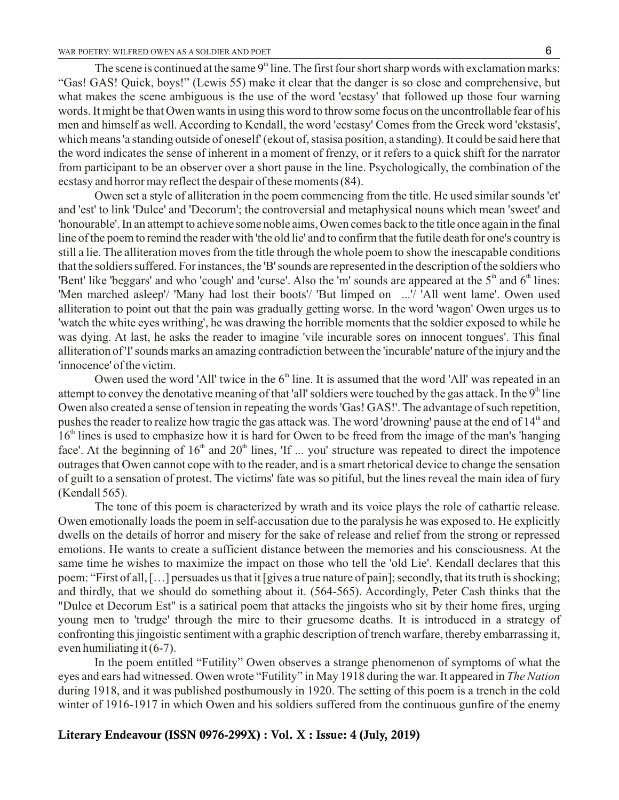The scene is continued at the same  $9<sup>th</sup>$  line. The first four short sharp words with exclamation marks: "Gas! GAS! Quick, boys!" (Lewis 55) make it clear that the danger is so close and comprehensive, but what makes the scene ambiguous is the use of the word 'ecstasy' that followed up those four warning words. It might be that Owen wants in using this word to throw some focus on the uncontrollable fear of his men and himself as well. According to Kendall, the word 'ecstasy' Comes from the Greek word 'ekstasis', which means 'a standing outside of oneself' (ekout of, stasisa position, a standing). It could be said here that the word indicates the sense of inherent in a moment of frenzy, or it refers to a quick shift for the narrator from participant to be an observer over a short pause in the line. Psychologically, the combination of the ecstasy and horror may reflect the despair of these moments (84).

Owen set a style of alliteration in the poem commencing from the title. He used similar sounds 'et' and 'est' to link 'Dulce' and 'Decorum'; the controversial and metaphysical nouns which mean 'sweet' and 'honourable'. In an attempt to achieve some noble aims, Owen comes back to the title once again in the final line of the poem to remind the reader with 'the old lie' and to confirm that the futile death for one's country is still a lie. The alliteration moves from the title through the whole poem to show the inescapable conditions that the soldiers suffered. For instances, the 'B' sounds are represented in the description of the soldiers who 'Bent' like 'beggars' and who 'cough' and 'curse'. Also the 'm' sounds are appeared at the  $5<sup>th</sup>$  and  $6<sup>th</sup>$  lines: 'Men marched asleep'/ 'Many had lost their boots'/ 'But limped on ...'/ 'All went lame'. Owen used alliteration to point out that the pain was gradually getting worse. In the word 'wagon' Owen urges us to 'watch the white eyes writhing', he was drawing the horrible moments that the soldier exposed to while he was dying. At last, he asks the reader to imagine 'vile incurable sores on innocent tongues'. This final alliteration of 'I' sounds marks an amazing contradiction between the 'incurable' nature of the injury and the 'innocence' of the victim.

Owen used the word 'All' twice in the  $6<sup>th</sup>$  line. It is assumed that the word 'All' was repeated in an attempt to convey the denotative meaning of that 'all' soldiers were touched by the gas attack. In the  $9<sup>th</sup>$  line Owen also created a sense of tension in repeating the words 'Gas! GAS!'. The advantage of such repetition, pushes the reader to realize how tragic the gas attack was. The word 'drowning' pause at the end of 14<sup>th</sup> and  $16<sup>th</sup>$  lines is used to emphasize how it is hard for Owen to be freed from the image of the man's 'hanging face'. At the beginning of  $16<sup>th</sup>$  and  $20<sup>th</sup>$  lines, 'If ... you' structure was repeated to direct the impotence outrages that Owen cannot cope with to the reader, and is a smart rhetorical device to change the sensation of guilt to a sensation of protest. The victims' fate was so pitiful, but the lines reveal the main idea of fury (Kendall 565).

The tone of this poem is characterized by wrath and its voice plays the role of cathartic release. Owen emotionally loads the poem in self-accusation due to the paralysis he was exposed to. He explicitly dwells on the details of horror and misery for the sake of release and relief from the strong or repressed emotions. He wants to create a sufficient distance between the memories and his consciousness. At the same time he wishes to maximize the impact on those who tell the 'old Lie'. Kendall declares that this poem: "First of all, […] persuades us that it [gives a true nature of pain]; secondly, that its truth is shocking; and thirdly, that we should do something about it. (564-565). Accordingly, Peter Cash thinks that the "Dulce et Decorum Est" is a satirical poem that attacks the jingoists who sit by their home fires, urging young men to 'trudge' through the mire to their gruesome deaths. It is introduced in a strategy of confronting this jingoistic sentiment with a graphic description of trench warfare, thereby embarrassing it, even humiliating it (6-7).

In the poem entitled "Futility" Owen observes a strange phenomenon of symptoms of what the eyes and ears had witnessed. Owen wrote "Futility" in May 1918 during the war. It appeared in *The Nation* during 1918, and it was published posthumously in 1920. The setting of this poem is a trench in the cold winter of 1916-1917 in which Owen and his soldiers suffered from the continuous gunfire of the enemy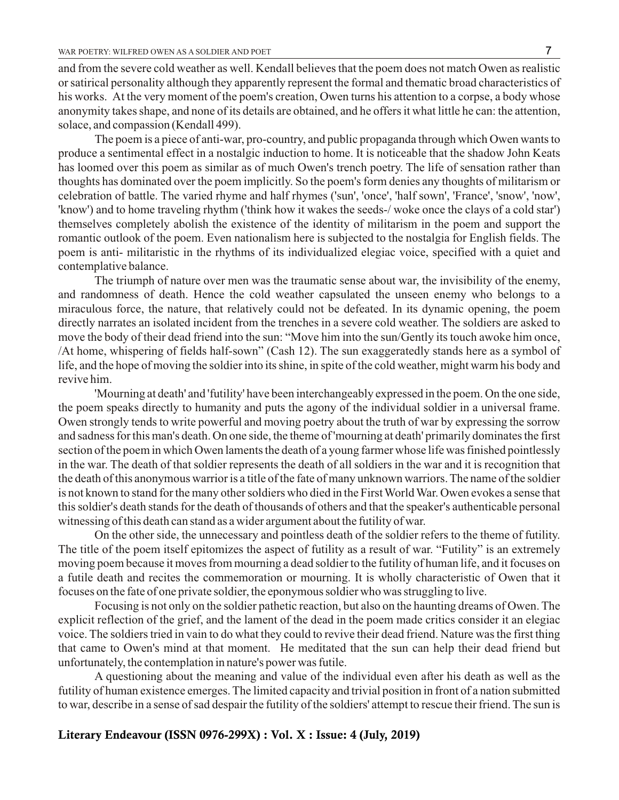and from the severe cold weather as well. Kendall believes that the poem does not match Owen as realistic or satirical personality although they apparently represent the formal and thematic broad characteristics of his works. At the very moment of the poem's creation, Owen turns his attention to a corpse, a body whose anonymity takes shape, and none of its details are obtained, and he offers it what little he can: the attention, solace, and compassion (Kendall 499).

The poem is a piece of anti-war, pro-country, and public propaganda through which Owen wants to produce a sentimental effect in a nostalgic induction to home. It is noticeable that the shadow John Keats has loomed over this poem as similar as of much Owen's trench poetry. The life of sensation rather than thoughts has dominated over the poem implicitly. So the poem's form denies any thoughts of militarism or celebration of battle. The varied rhyme and half rhymes ('sun', 'once', 'half sown', 'France', 'snow', 'now', 'know') and to home traveling rhythm ('think how it wakes the seeds-/ woke once the clays of a cold star') themselves completely abolish the existence of the identity of militarism in the poem and support the romantic outlook of the poem. Even nationalism here is subjected to the nostalgia for English fields. The poem is anti- militaristic in the rhythms of its individualized elegiac voice, specified with a quiet and contemplative balance.

The triumph of nature over men was the traumatic sense about war, the invisibility of the enemy, and randomness of death. Hence the cold weather capsulated the unseen enemy who belongs to a miraculous force, the nature, that relatively could not be defeated. In its dynamic opening, the poem directly narrates an isolated incident from the trenches in a severe cold weather. The soldiers are asked to move the body of their dead friend into the sun: "Move him into the sun/Gently its touch awoke him once, /At home, whispering of fields half-sown" (Cash 12). The sun exaggeratedly stands here as a symbol of life, and the hope of moving the soldier into its shine, in spite of the cold weather, might warm his body and revive him.

'Mourning at death' and 'futility' have been interchangeably expressed in the poem. On the one side, the poem speaks directly to humanity and puts the agony of the individual soldier in a universal frame. Owen strongly tends to write powerful and moving poetry about the truth of war by expressing the sorrow and sadness for this man's death. On one side, the theme of 'mourning at death' primarily dominates the first section of the poem in which Owen laments the death of a young farmer whose life was finished pointlessly in the war. The death of that soldier represents the death of all soldiers in the war and it is recognition that the death of this anonymous warrior is a title of the fate of many unknown warriors. The name of the soldier is not known to stand for the many other soldiers who died in the First World War. Owen evokes a sense that this soldier's death stands for the death of thousands of others and that the speaker's authenticable personal witnessing of this death can stand as a wider argument about the futility of war.

On the other side, the unnecessary and pointless death of the soldier refers to the theme of futility. The title of the poem itself epitomizes the aspect of futility as a result of war. "Futility" is an extremely moving poem because it moves from mourning a dead soldier to the futility of human life, and it focuses on a futile death and recites the commemoration or mourning. It is wholly characteristic of Owen that it focuses on the fate of one private soldier, the eponymous soldier who was struggling to live.

Focusing is not only on the soldier pathetic reaction, but also on the haunting dreams of Owen. The explicit reflection of the grief, and the lament of the dead in the poem made critics consider it an elegiac voice. The soldiers tried in vain to do what they could to revive their dead friend. Nature was the first thing that came to Owen's mind at that moment. He meditated that the sun can help their dead friend but unfortunately, the contemplation in nature's power was futile.

A questioning about the meaning and value of the individual even after his death as well as the futility of human existence emerges. The limited capacity and trivial position in front of a nation submitted to war, describe in a sense of sad despair the futility of the soldiers' attempt to rescue their friend. The sun is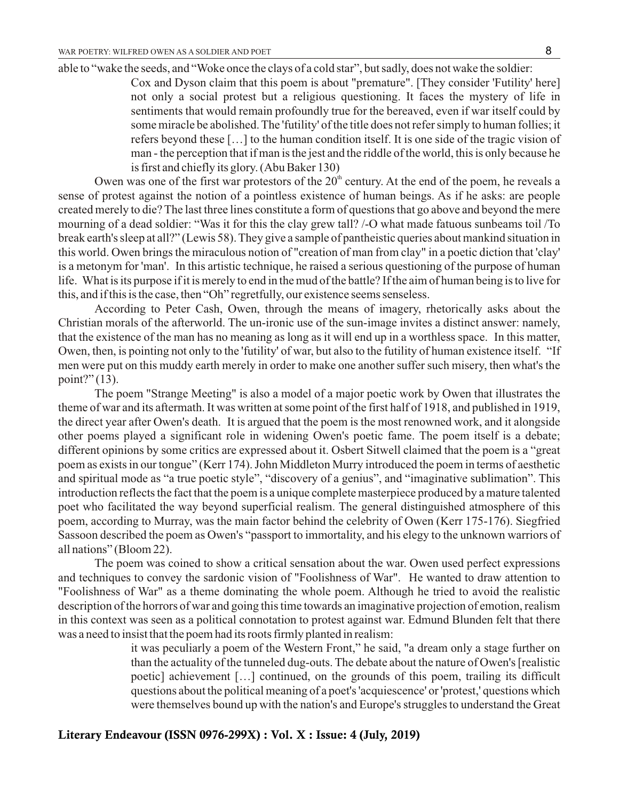able to "wake the seeds, and "Woke once the clays of a cold star", but sadly, does not wake the soldier:

Cox and Dyson claim that this poem is about "premature". [They consider 'Futility' here] not only a social protest but a religious questioning. It faces the mystery of life in sentiments that would remain profoundly true for the bereaved, even if war itself could by some miracle be abolished. The 'futility' of the title does not refer simply to human follies; it refers beyond these […] to the human condition itself. It is one side of the tragic vision of man - the perception that if man is the jest and the riddle of the world, this is only because he is first and chiefly its glory. (Abu Baker 130)

Owen was one of the first war protestors of the  $20<sup>th</sup>$  century. At the end of the poem, he reveals a sense of protest against the notion of a pointless existence of human beings. As if he asks: are people created merely to die? The last three lines constitute a form of questions that go above and beyond the mere mourning of a dead soldier: "Was it for this the clay grew tall? /-O what made fatuous sunbeams toil /To break earth's sleep at all?" (Lewis 58). They give a sample of pantheistic queries about mankind situation in this world. Owen brings the miraculous notion of "creation of man from clay" in a poetic diction that 'clay' is a metonym for 'man'. In this artistic technique, he raised a serious questioning of the purpose of human life. What is its purpose if it is merely to end in the mud of the battle? If the aim of human being is to live for this, and if this is the case, then "Oh" regretfully, our existence seems senseless.

According to Peter Cash, Owen, through the means of imagery, rhetorically asks about the Christian morals of the afterworld. The un-ironic use of the sun-image invites a distinct answer: namely, that the existence of the man has no meaning as long as it will end up in a worthless space. In this matter, Owen, then, is pointing not only to the 'futility' of war, but also to the futility of human existence itself. "If men were put on this muddy earth merely in order to make one another suffer such misery, then what's the point?" (13).

The poem "Strange Meeting" is also a model of a major poetic work by Owen that illustrates the theme of war and its aftermath. It was written at some point of the first half of 1918, and published in 1919, the direct year after Owen's death. It is argued that the poem is the most renowned work, and it alongside other poems played a significant role in widening Owen's poetic fame. The poem itself is a debate; different opinions by some critics are expressed about it. Osbert Sitwell claimed that the poem is a "great poem as exists in our tongue" (Kerr 174). John Middleton Murry introduced the poem in terms of aesthetic and spiritual mode as "a true poetic style", "discovery of a genius", and "imaginative sublimation". This introduction reflects the fact that the poem is a unique complete masterpiece produced by a mature talented poet who facilitated the way beyond superficial realism. The general distinguished atmosphere of this poem, according to Murray, was the main factor behind the celebrity of Owen (Kerr 175-176). Siegfried Sassoon described the poem as Owen's "passport to immortality, and his elegy to the unknown warriors of all nations" (Bloom 22).

The poem was coined to show a critical sensation about the war. Owen used perfect expressions and techniques to convey the sardonic vision of "Foolishness of War". He wanted to draw attention to "Foolishness of War" as a theme dominating the whole poem. Although he tried to avoid the realistic description of the horrors of war and going this time towards an imaginative projection of emotion, realism in this context was seen as a political connotation to protest against war. Edmund Blunden felt that there was a need to insist that the poem had its roots firmly planted in realism:

> it was peculiarly a poem of the Western Front," he said, "a dream only a stage further on than the actuality of the tunneled dug-outs. The debate about the nature of Owen's [realistic poetic] achievement […] continued, on the grounds of this poem, trailing its difficult questions about the political meaning of a poet's 'acquiescence' or 'protest,' questions which were themselves bound up with the nation's and Europe's struggles to understand the Great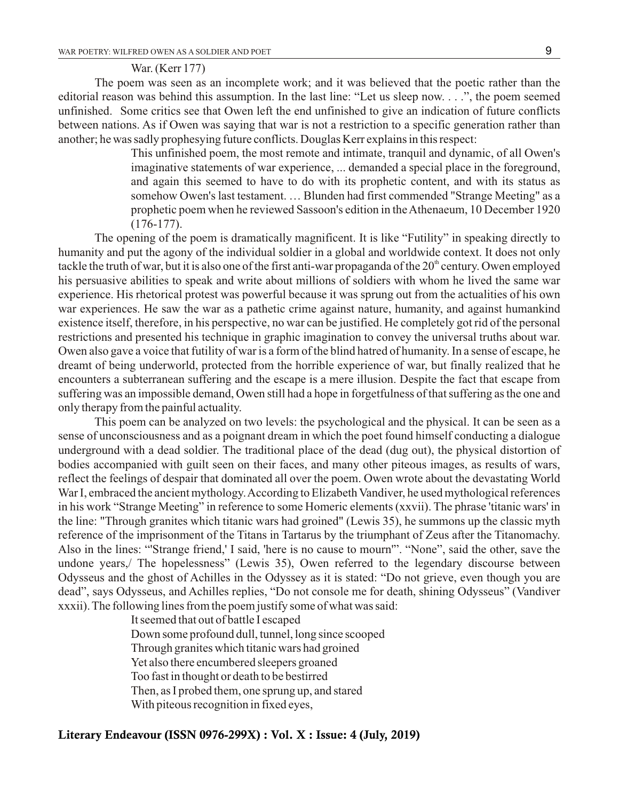#### War. (Kerr 177)

The poem was seen as an incomplete work; and it was believed that the poetic rather than the editorial reason was behind this assumption. In the last line: "Let us sleep now. . . .", the poem seemed unfinished. Some critics see that Owen left the end unfinished to give an indication of future conflicts between nations. As if Owen was saying that war is not a restriction to a specific generation rather than another; he was sadly prophesying future conflicts. Douglas Kerr explains in this respect:

> This unfinished poem, the most remote and intimate, tranquil and dynamic, of all Owen's imaginative statements of war experience, ... demanded a special place in the foreground, and again this seemed to have to do with its prophetic content, and with its status as somehow Owen's last testament. … Blunden had first commended "Strange Meeting" as a prophetic poem when he reviewed Sassoon's edition in the Athenaeum, 10 December 1920 (176-177).

The opening of the poem is dramatically magnificent. It is like "Futility" in speaking directly to humanity and put the agony of the individual soldier in a global and worldwide context. It does not only tackle the truth of war, but it is also one of the first anti-war propaganda of the  $20<sup>th</sup>$  century. Owen employed his persuasive abilities to speak and write about millions of soldiers with whom he lived the same war experience. His rhetorical protest was powerful because it was sprung out from the actualities of his own war experiences. He saw the war as a pathetic crime against nature, humanity, and against humankind existence itself, therefore, in his perspective, no war can be justified. He completely got rid of the personal restrictions and presented his technique in graphic imagination to convey the universal truths about war. Owen also gave a voice that futility of war is a form of the blind hatred of humanity. In a sense of escape, he dreamt of being underworld, protected from the horrible experience of war, but finally realized that he encounters a subterranean suffering and the escape is a mere illusion. Despite the fact that escape from suffering was an impossible demand, Owen still had a hope in forgetfulness of that suffering as the one and only therapy from the painful actuality.

This poem can be analyzed on two levels: the psychological and the physical. It can be seen as a sense of unconsciousness and as a poignant dream in which the poet found himself conducting a dialogue underground with a dead soldier. The traditional place of the dead (dug out), the physical distortion of bodies accompanied with guilt seen on their faces, and many other piteous images, as results of wars, reflect the feelings of despair that dominated all over the poem. Owen wrote about the devastating World War I, embraced the ancient mythology. According to Elizabeth Vandiver, he used mythological references in his work "Strange Meeting" in reference to some Homeric elements (xxvii). The phrase 'titanic wars' in the line: "Through granites which titanic wars had groined" (Lewis 35), he summons up the classic myth reference of the imprisonment of the Titans in Tartarus by the triumphant of Zeus after the Titanomachy. Also in the lines: "'Strange friend,' I said, 'here is no cause to mourn'". "None", said the other, save the undone years,/ The hopelessness" (Lewis 35), Owen referred to the legendary discourse between Odysseus and the ghost of Achilles in the Odyssey as it is stated: "Do not grieve, even though you are dead", says Odysseus, and Achilles replies, "Do not console me for death, shining Odysseus" (Vandiver xxxii). The following lines from the poem justify some of what was said:

> It seemed that out of battle I escaped Down some profound dull, tunnel, long since scooped Through granites which titanic wars had groined Yet also there encumbered sleepers groaned Too fast in thought or death to be bestirred Then, as I probed them, one sprung up, and stared With piteous recognition in fixed eyes,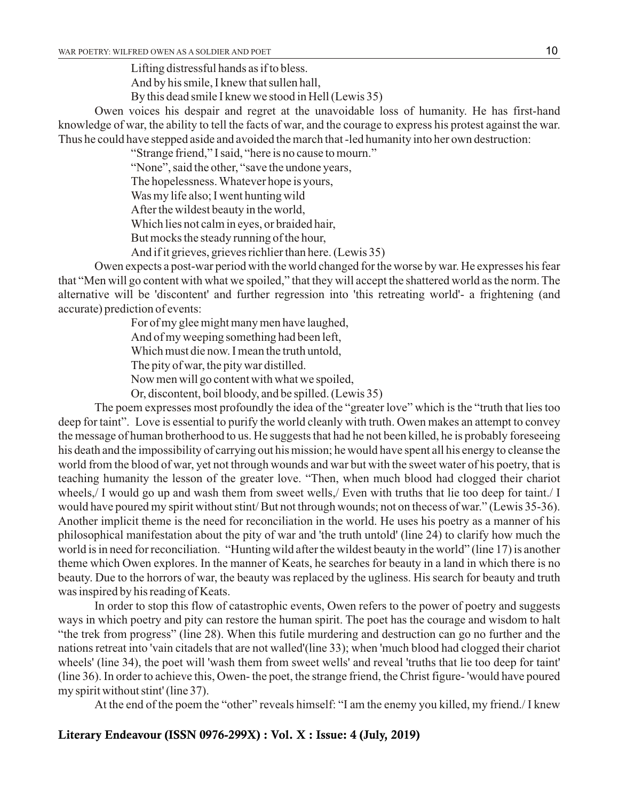Lifting distressful hands as if to bless. And by his smile, I knew that sullen hall,

By this dead smile I knew we stood in Hell (Lewis 35)

Owen voices his despair and regret at the unavoidable loss of humanity. He has first-hand knowledge of war, the ability to tell the facts of war, and the courage to express his protest against the war. Thus he could have stepped aside and avoided the march that -led humanity into her own destruction:

"Strange friend," I said, "here is no cause to mourn."

"None", said the other, "save the undone years,

The hopelessness. Whatever hope is yours,

Was my life also; I went hunting wild

After the wildest beauty in the world,

Which lies not calm in eyes, or braided hair,

But mocks the steady running of the hour,

And if it grieves, grieves richlier than here. (Lewis 35)

Owen expects a post-war period with the world changed for the worse by war. He expresses his fear that "Men will go content with what we spoiled," that they will accept the shattered world as the norm. The alternative will be 'discontent' and further regression into 'this retreating world'- a frightening (and accurate) prediction of events:

For of my glee might many men have laughed,

And of my weeping something had been left,

Which must die now. I mean the truth untold,

The pity of war, the pity war distilled.

Now men will go content with what we spoiled,

Or, discontent, boil bloody, and be spilled. (Lewis 35)

The poem expresses most profoundly the idea of the "greater love" which is the "truth that lies too deep for taint". Love is essential to purify the world cleanly with truth. Owen makes an attempt to convey the message of human brotherhood to us. He suggests that had he not been killed, he is probably foreseeing his death and the impossibility of carrying out his mission; he would have spent all his energy to cleanse the world from the blood of war, yet not through wounds and war but with the sweet water of his poetry, that is teaching humanity the lesson of the greater love. "Then, when much blood had clogged their chariot wheels,/ I would go up and wash them from sweet wells,/ Even with truths that lie too deep for taint./ I would have poured my spirit without stint/ But not through wounds; not on thecess of war." (Lewis 35-36). Another implicit theme is the need for reconciliation in the world. He uses his poetry as a manner of his philosophical manifestation about the pity of war and 'the truth untold' (line 24) to clarify how much the world is in need for reconciliation. "Hunting wild after the wildest beauty in the world" (line 17) is another theme which Owen explores. In the manner of Keats, he searches for beauty in a land in which there is no beauty. Due to the horrors of war, the beauty was replaced by the ugliness. His search for beauty and truth was inspired by his reading of Keats.

In order to stop this flow of catastrophic events, Owen refers to the power of poetry and suggests ways in which poetry and pity can restore the human spirit. The poet has the courage and wisdom to halt "the trek from progress" (line 28). When this futile murdering and destruction can go no further and the nations retreat into 'vain citadels that are not walled'(line 33); when 'much blood had clogged their chariot wheels' (line 34), the poet will 'wash them from sweet wells' and reveal 'truths that lie too deep for taint' (line 36). In order to achieve this, Owen- the poet, the strange friend, the Christ figure- 'would have poured my spirit without stint' (line 37).

At the end of the poem the "other" reveals himself: "I am the enemy you killed, my friend./ I knew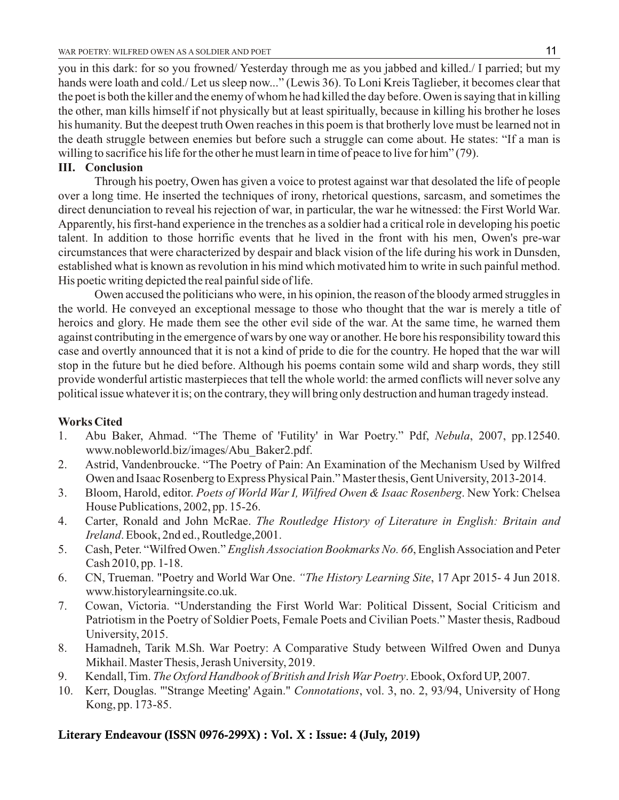you in this dark: for so you frowned/ Yesterday through me as you jabbed and killed./ I parried; but my hands were loath and cold./ Let us sleep now..." (Lewis 36). To Loni Kreis Taglieber, it becomes clear that the poet is both the killer and the enemy of whom he had killed the day before. Owen is saying that in killing the other, man kills himself if not physically but at least spiritually, because in killing his brother he loses his humanity. But the deepest truth Owen reaches in this poem is that brotherly love must be learned not in the death struggle between enemies but before such a struggle can come about. He states: "If a man is willing to sacrifice his life for the other he must learn in time of peace to live for him" (79).

# **III. Conclusion**

Through his poetry, Owen has given a voice to protest against war that desolated the life of people over a long time. He inserted the techniques of irony, rhetorical questions, sarcasm, and sometimes the direct denunciation to reveal his rejection of war, in particular, the war he witnessed: the First World War. Apparently, his first-hand experience in the trenches as a soldier had a critical role in developing his poetic talent. In addition to those horrific events that he lived in the front with his men, Owen's pre-war circumstances that were characterized by despair and black vision of the life during his work in Dunsden, established what is known as revolution in his mind which motivated him to write in such painful method. His poetic writing depicted the real painful side of life.

Owen accused the politicians who were, in his opinion, the reason of the bloody armed struggles in the world. He conveyed an exceptional message to those who thought that the war is merely a title of heroics and glory. He made them see the other evil side of the war. At the same time, he warned them against contributing in the emergence of wars by one way or another. He bore his responsibility toward this case and overtly announced that it is not a kind of pride to die for the country. He hoped that the war will stop in the future but he died before. Although his poems contain some wild and sharp words, they still provide wonderful artistic masterpieces that tell the whole world: the armed conflicts will never solve any political issue whatever it is; on the contrary, they will bring only destruction and human tragedy instead.

# **Works Cited**

- 1. Abu Baker, Ahmad. "The Theme of 'Futility' in War Poetry." Pdf, *Nebula*, 2007, pp.12540. www.nobleworld.biz/images/Abu\_Baker2.pdf.
- 2. Astrid, Vandenbroucke. "The Poetry of Pain: An Examination of the Mechanism Used by Wilfred Owen and Isaac Rosenberg to Express Physical Pain." Master thesis, Gent University, 2013-2014.
- 3. Bloom, Harold, editor. *Poets of World War I, Wilfred Owen & Isaac Rosenberg*. New York: Chelsea House Publications, 2002, pp. 15-26.
- 4. Carter, Ronald and John McRae. *The Routledge History of Literature in English: Britain and Ireland*. Ebook, 2nd ed., Routledge,2001.
- 5. Cash, Peter. "Wilfred Owen." *English Association Bookmarks No. 66*, English Association and Peter Cash 2010, pp. 1-18.
- 6. CN, Trueman. "Poetry and World War One. *"The History Learning Site*, 17 Apr 2015- 4 Jun 2018. www.historylearningsite.co.uk.
- 7. Cowan, Victoria. "Understanding the First World War: Political Dissent, Social Criticism and Patriotism in the Poetry of Soldier Poets, Female Poets and Civilian Poets." Master thesis, Radboud University, 2015.
- 8. Hamadneh, Tarik M.Sh. War Poetry: A Comparative Study between Wilfred Owen and Dunya Mikhail. Master Thesis, Jerash University, 2019.
- 9. Kendall, Tim. *The Oxford Handbook of British and Irish War Poetry*. Ebook, Oxford UP, 2007.
- 10. Kerr, Douglas. "'Strange Meeting' Again." *Connotations*, vol. 3, no. 2, 93/94, University of Hong Kong, pp. 173-85.